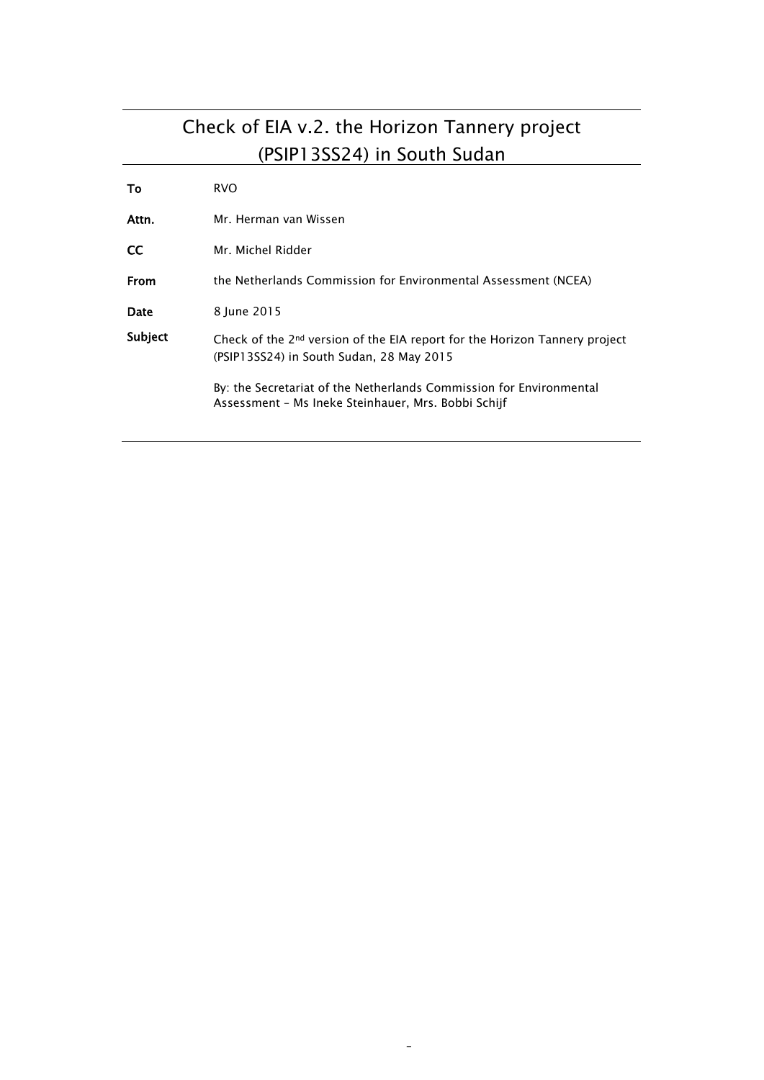# Check of EIA v.2. the Horizon Tannery project (PSIP13SS24) in South Sudan

| To      | <b>RVO</b>                                                                                                                         |
|---------|------------------------------------------------------------------------------------------------------------------------------------|
| Attn.   | Mr. Herman van Wissen                                                                                                              |
| CC      | Mr. Michel Ridder                                                                                                                  |
| From    | the Netherlands Commission for Environmental Assessment (NCEA)                                                                     |
| Date    | 8 June 2015                                                                                                                        |
| Subject | Check of the 2 <sup>nd</sup> version of the EIA report for the Horizon Tannery project<br>(PSIP13SS24) in South Sudan, 28 May 2015 |
|         | By: the Secretariat of the Netherlands Commission for Environmental<br>Assessment - Ms Ineke Steinhauer, Mrs. Bobbi Schijf         |

-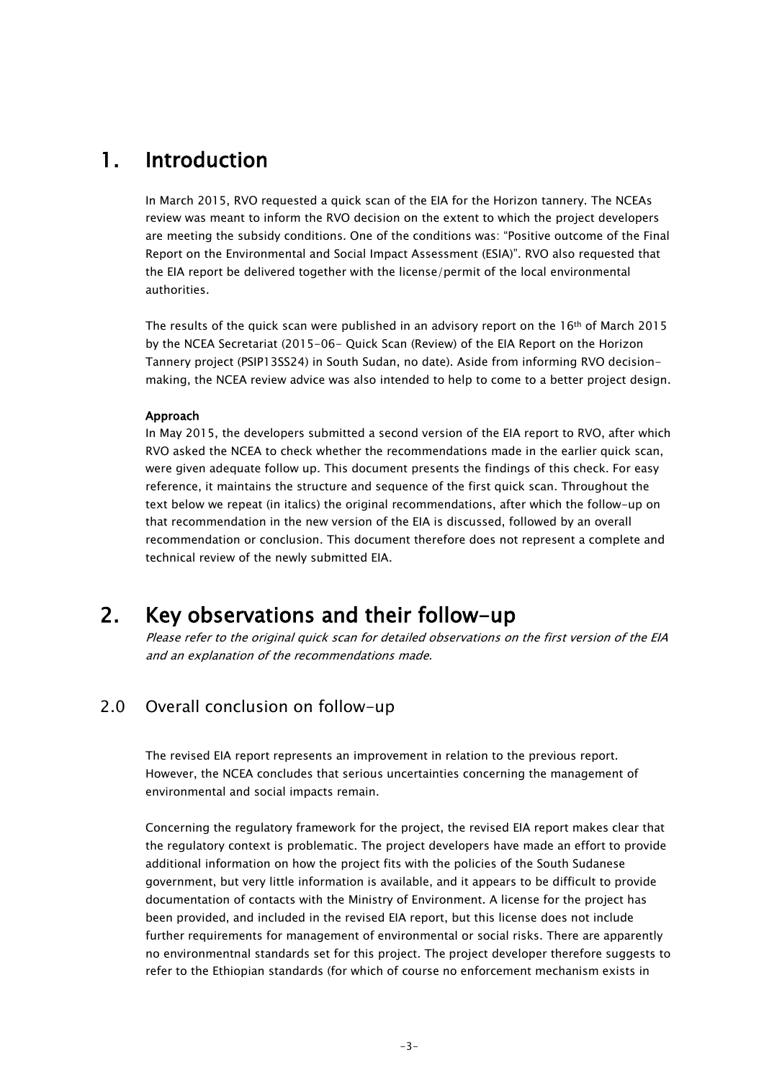# 1. Introduction

In March 2015, RVO requested a quick scan of the EIA for the Horizon tannery. The NCEAs review was meant to inform the RVO decision on the extent to which the project developers are meeting the subsidy conditions. One of the conditions was: "Positive outcome of the Final Report on the Environmental and Social Impact Assessment (ESIA)". RVO also requested that the EIA report be delivered together with the license/permit of the local environmental authorities.

The results of the quick scan were published in an advisory report on the 16<sup>th</sup> of March 2015 by the NCEA Secretariat (2015-06- Quick Scan (Review) of the EIA Report on the Horizon Tannery project (PSIP13SS24) in South Sudan, no date). Aside from informing RVO decisionmaking, the NCEA review advice was also intended to help to come to a better project design.

#### Approach

In May 2015, the developers submitted a second version of the EIA report to RVO, after which RVO asked the NCEA to check whether the recommendations made in the earlier quick scan, were given adequate follow up. This document presents the findings of this check. For easy reference, it maintains the structure and sequence of the first quick scan. Throughout the text below we repeat (in italics) the original recommendations, after which the follow-up on that recommendation in the new version of the EIA is discussed, followed by an overall recommendation or conclusion. This document therefore does not represent a complete and technical review of the newly submitted EIA.

# 2. Key observations and their follow-up

Please refer to the original quick scan for detailed observations on the first version of the EIA and an explanation of the recommendations made.

## 2.0 Overall conclusion on follow-up

The revised EIA report represents an improvement in relation to the previous report. However, the NCEA concludes that serious uncertainties concerning the management of environmental and social impacts remain.

Concerning the regulatory framework for the project, the revised EIA report makes clear that the regulatory context is problematic. The project developers have made an effort to provide additional information on how the project fits with the policies of the South Sudanese government, but very little information is available, and it appears to be difficult to provide documentation of contacts with the Ministry of Environment. A license for the project has been provided, and included in the revised EIA report, but this license does not include further requirements for management of environmental or social risks. There are apparently no environmentnal standards set for this project. The project developer therefore suggests to refer to the Ethiopian standards (for which of course no enforcement mechanism exists in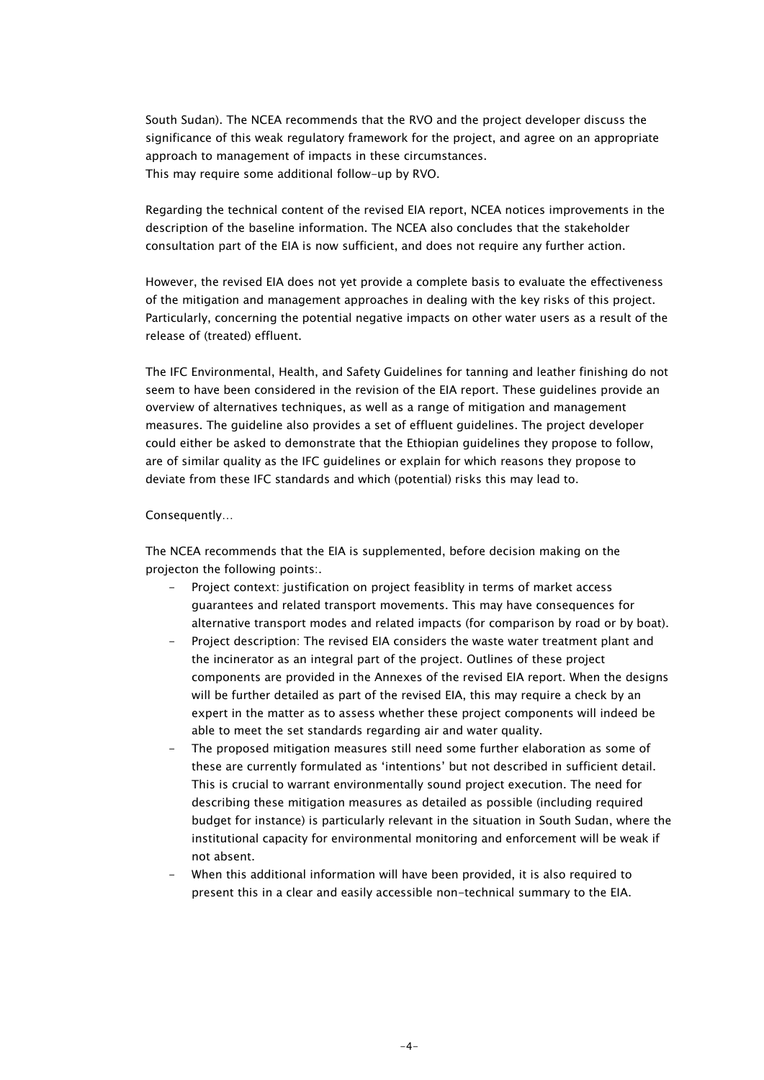South Sudan). The NCEA recommends that the RVO and the project developer discuss the significance of this weak regulatory framework for the project, and agree on an appropriate approach to management of impacts in these circumstances. This may require some additional follow-up by RVO.

Regarding the technical content of the revised EIA report, NCEA notices improvements in the description of the baseline information. The NCEA also concludes that the stakeholder consultation part of the EIA is now sufficient, and does not require any further action.

However, the revised EIA does not yet provide a complete basis to evaluate the effectiveness of the mitigation and management approaches in dealing with the key risks of this project. Particularly, concerning the potential negative impacts on other water users as a result of the release of (treated) effluent.

The IFC Environmental, Health, and Safety Guidelines for tanning and leather finishing do not seem to have been considered in the revision of the EIA report. These guidelines provide an overview of alternatives techniques, as well as a range of mitigation and management measures. The guideline also provides a set of effluent guidelines. The project developer could either be asked to demonstrate that the Ethiopian guidelines they propose to follow, are of similar quality as the IFC guidelines or explain for which reasons they propose to deviate from these IFC standards and which (potential) risks this may lead to.

#### Consequently…

The NCEA recommends that the EIA is supplemented, before decision making on the projecton the following points:.

- Project context: justification on project feasiblity in terms of market access guarantees and related transport movements. This may have consequences for alternative transport modes and related impacts (for comparison by road or by boat).
- Project description: The revised EIA considers the waste water treatment plant and the incinerator as an integral part of the project. Outlines of these project components are provided in the Annexes of the revised EIA report. When the designs will be further detailed as part of the revised EIA, this may require a check by an expert in the matter as to assess whether these project components will indeed be able to meet the set standards regarding air and water quality.
- The proposed mitigation measures still need some further elaboration as some of these are currently formulated as 'intentions' but not described in sufficient detail. This is crucial to warrant environmentally sound project execution. The need for describing these mitigation measures as detailed as possible (including required budget for instance) is particularly relevant in the situation in South Sudan, where the institutional capacity for environmental monitoring and enforcement will be weak if not absent.
- When this additional information will have been provided, it is also required to present this in a clear and easily accessible non-technical summary to the EIA.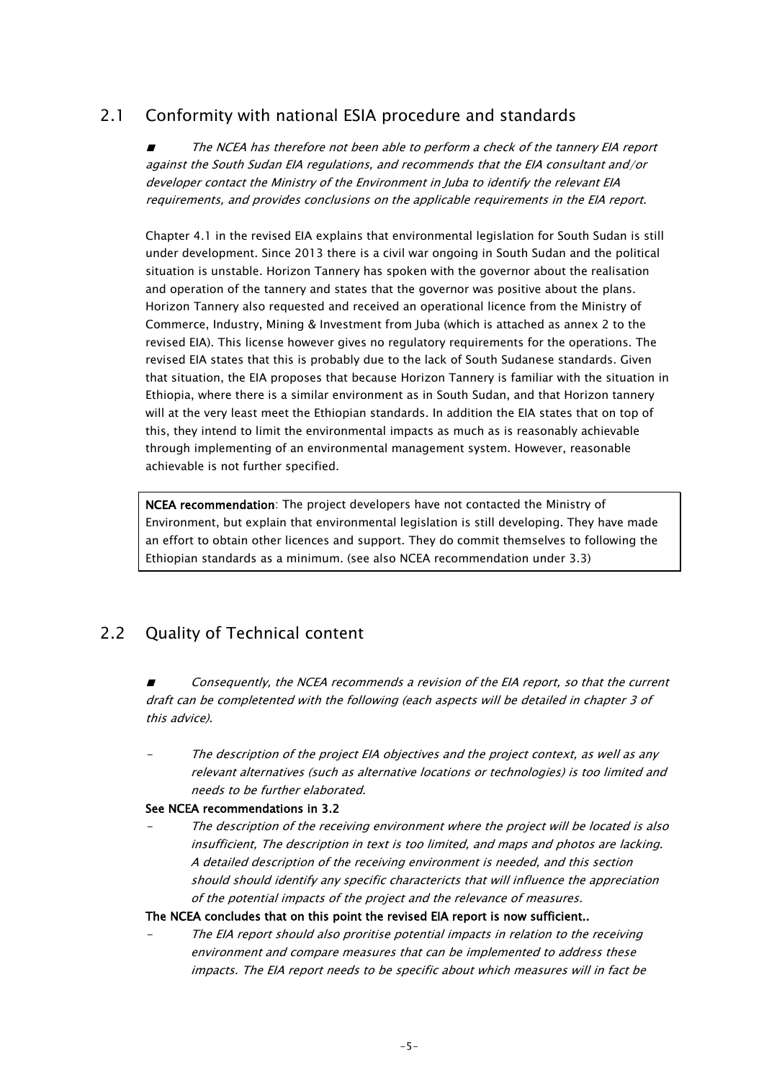# 2.1 Conformity with national ESIA procedure and standards

■ The NCEA has therefore not been able to perform a check of the tannery EIA report against the South Sudan EIA regulations, and recommends that the EIA consultant and/or developer contact the Ministry of the Environment in Juba to identify the relevant EIA requirements, and provides conclusions on the applicable requirements in the EIA report.

Chapter 4.1 in the revised EIA explains that environmental legislation for South Sudan is still under development. Since 2013 there is a civil war ongoing in South Sudan and the political situation is unstable. Horizon Tannery has spoken with the governor about the realisation and operation of the tannery and states that the governor was positive about the plans. Horizon Tannery also requested and received an operational licence from the Ministry of Commerce, Industry, Mining & Investment from Juba (which is attached as annex 2 to the revised EIA). This license however gives no regulatory requirements for the operations. The revised EIA states that this is probably due to the lack of South Sudanese standards. Given that situation, the EIA proposes that because Horizon Tannery is familiar with the situation in Ethiopia, where there is a similar environment as in South Sudan, and that Horizon tannery will at the very least meet the Ethiopian standards. In addition the EIA states that on top of this, they intend to limit the environmental impacts as much as is reasonably achievable through implementing of an environmental management system. However, reasonable achievable is not further specified.

NCEA recommendation: The project developers have not contacted the Ministry of Environment, but explain that environmental legislation is still developing. They have made an effort to obtain other licences and support. They do commit themselves to following the Ethiopian standards as a minimum. (see also NCEA recommendation under 3.3)

# 2.2 Quality of Technical content

Consequently, the NCEA recommends a revision of the EIA report, so that the current draft can be completented with the following (each aspects will be detailed in chapter 3 of this advice).

 The description of the project EIA objectives and the project context, as well as any relevant alternatives (such as alternative locations or technologies) is too limited and needs to be further elaborated.

#### See NCEA recommendations in 3.2

 The description of the receiving environment where the project will be located is also insufficient, The description in text is too limited, and maps and photos are lacking. A detailed description of the receiving environment is needed, and this section should should identify any specific charactericts that will influence the appreciation of the potential impacts of the project and the relevance of measures.

#### The NCEA concludes that on this point the revised EIA report is now sufficient..

 The EIA report should also proritise potential impacts in relation to the receiving environment and compare measures that can be implemented to address these impacts. The EIA report needs to be specific about which measures will in fact be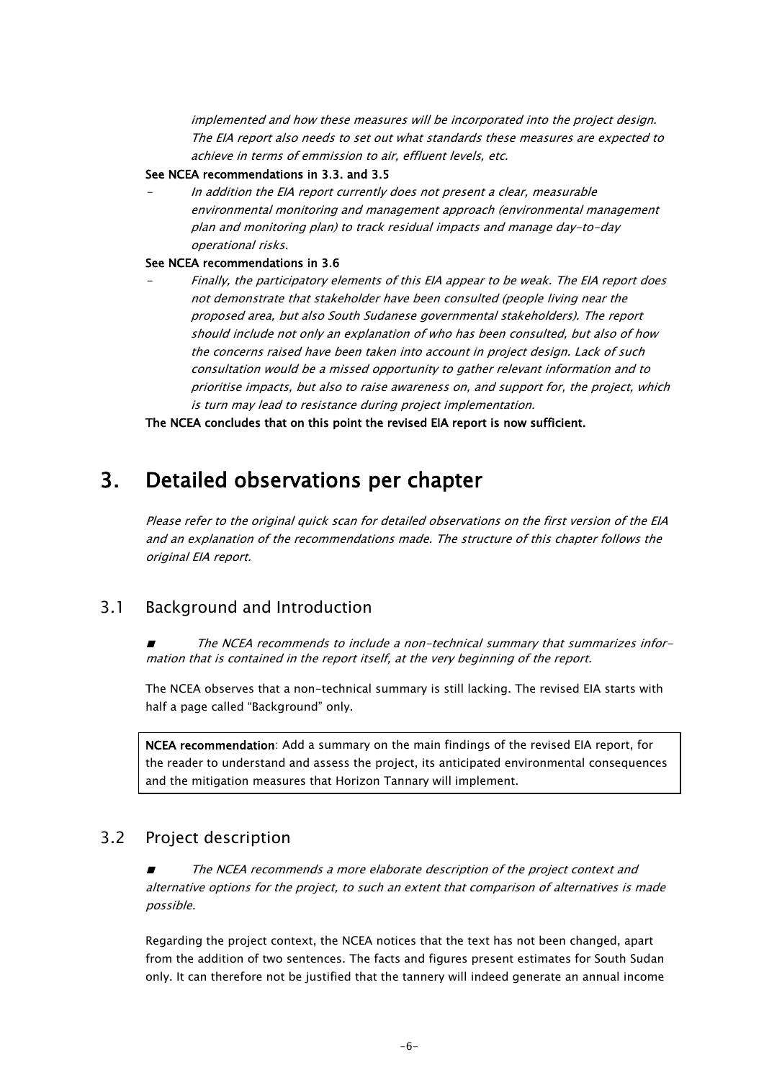implemented and how these measures will be incorporated into the project design. The EIA report also needs to set out what standards these measures are expected to achieve in terms of emmission to air, effluent levels, etc.

#### See NCEA recommendations in 3.3. and 3.5

 In addition the EIA report currently does not present a clear, measurable environmental monitoring and management approach (environmental management plan and monitoring plan) to track residual impacts and manage day-to-day operational risks.

#### See NCEA recommendations in 3.6

 Finally, the participatory elements of this EIA appear to be weak. The EIA report does not demonstrate that stakeholder have been consulted (people living near the proposed area, but also South Sudanese governmental stakeholders). The report should include not only an explanation of who has been consulted, but also of how the concerns raised have been taken into account in project design. Lack of such consultation would be a missed opportunity to gather relevant information and to prioritise impacts, but also to raise awareness on, and support for, the project, which is turn may lead to resistance during project implementation.

The NCEA concludes that on this point the revised EIA report is now sufficient.

# 3. Detailed observations per chapter

Please refer to the original quick scan for detailed observations on the first version of the EIA and an explanation of the recommendations made. The structure of this chapter follows the original EIA report.

## 3.1 Background and Introduction

The NCEA recommends to include a non-technical summary that summarizes information that is contained in the report itself, at the very beginning of the report.

The NCEA observes that a non-technical summary is still lacking. The revised EIA starts with half a page called "Background" only.

NCEA recommendation: Add a summary on the main findings of the revised EIA report, for the reader to understand and assess the project, its anticipated environmental consequences and the mitigation measures that Horizon Tannary will implement.

### 3.2 Project description

The NCEA recommends a more elaborate description of the project context and alternative options for the project, to such an extent that comparison of alternatives is made possible.

Regarding the project context, the NCEA notices that the text has not been changed, apart from the addition of two sentences. The facts and figures present estimates for South Sudan only. It can therefore not be justified that the tannery will indeed generate an annual income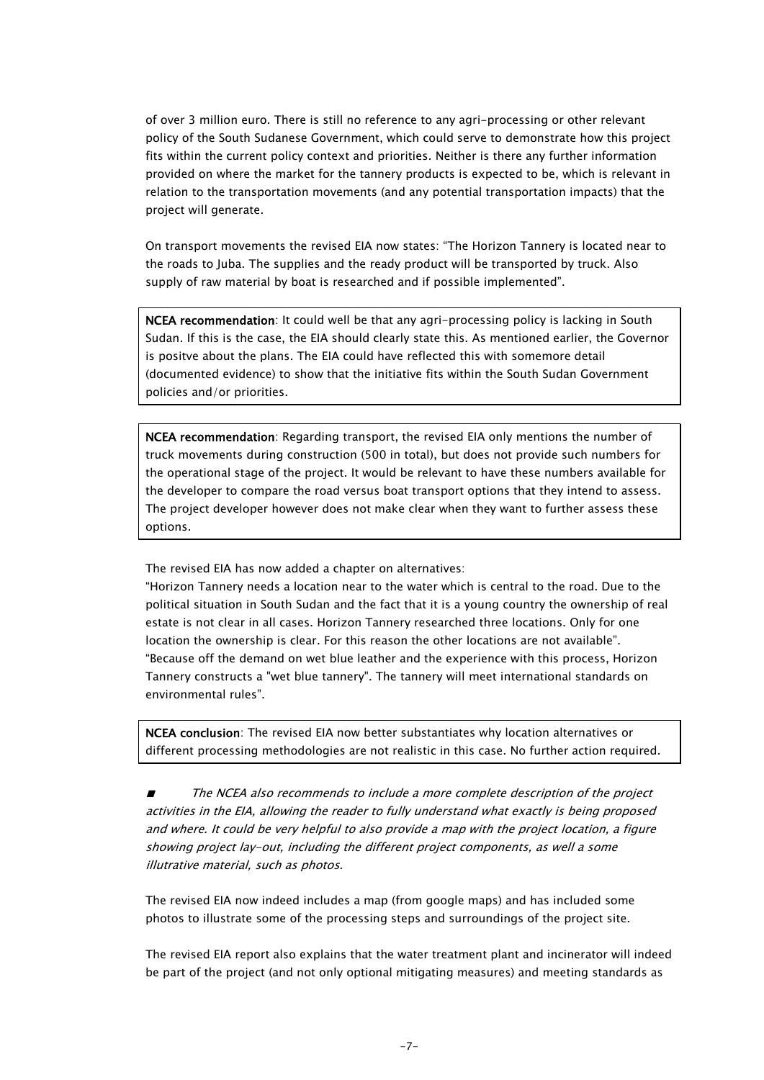of over 3 million euro. There is still no reference to any agri-processing or other relevant policy of the South Sudanese Government, which could serve to demonstrate how this project fits within the current policy context and priorities. Neither is there any further information provided on where the market for the tannery products is expected to be, which is relevant in relation to the transportation movements (and any potential transportation impacts) that the project will generate.

On transport movements the revised EIA now states: "The Horizon Tannery is located near to the roads to Juba. The supplies and the ready product will be transported by truck. Also supply of raw material by boat is researched and if possible implemented".

NCEA recommendation: It could well be that any agri-processing policy is lacking in South Sudan. If this is the case, the EIA should clearly state this. As mentioned earlier, the Governor is positve about the plans. The EIA could have reflected this with somemore detail (documented evidence) to show that the initiative fits within the South Sudan Government policies and/or priorities.

NCEA recommendation: Regarding transport, the revised EIA only mentions the number of truck movements during construction (500 in total), but does not provide such numbers for the operational stage of the project. It would be relevant to have these numbers available for the developer to compare the road versus boat transport options that they intend to assess. The project developer however does not make clear when they want to further assess these options.

The revised EIA has now added a chapter on alternatives:

"Horizon Tannery needs a location near to the water which is central to the road. Due to the political situation in South Sudan and the fact that it is a young country the ownership of real estate is not clear in all cases. Horizon Tannery researched three locations. Only for one location the ownership is clear. For this reason the other locations are not available". "Because off the demand on wet blue leather and the experience with this process, Horizon Tannery constructs a "wet blue tannery". The tannery will meet international standards on environmental rules".

NCEA conclusion: The revised EIA now better substantiates why location alternatives or different processing methodologies are not realistic in this case. No further action required.

The NCEA also recommends to include a more complete description of the project activities in the EIA, allowing the reader to fully understand what exactly is being proposed and where. It could be very helpful to also provide a map with the project location, a figure showing project lay-out, including the different project components, as well a some illutrative material, such as photos.

The revised EIA now indeed includes a map (from google maps) and has included some photos to illustrate some of the processing steps and surroundings of the project site.

The revised EIA report also explains that the water treatment plant and incinerator will indeed be part of the project (and not only optional mitigating measures) and meeting standards as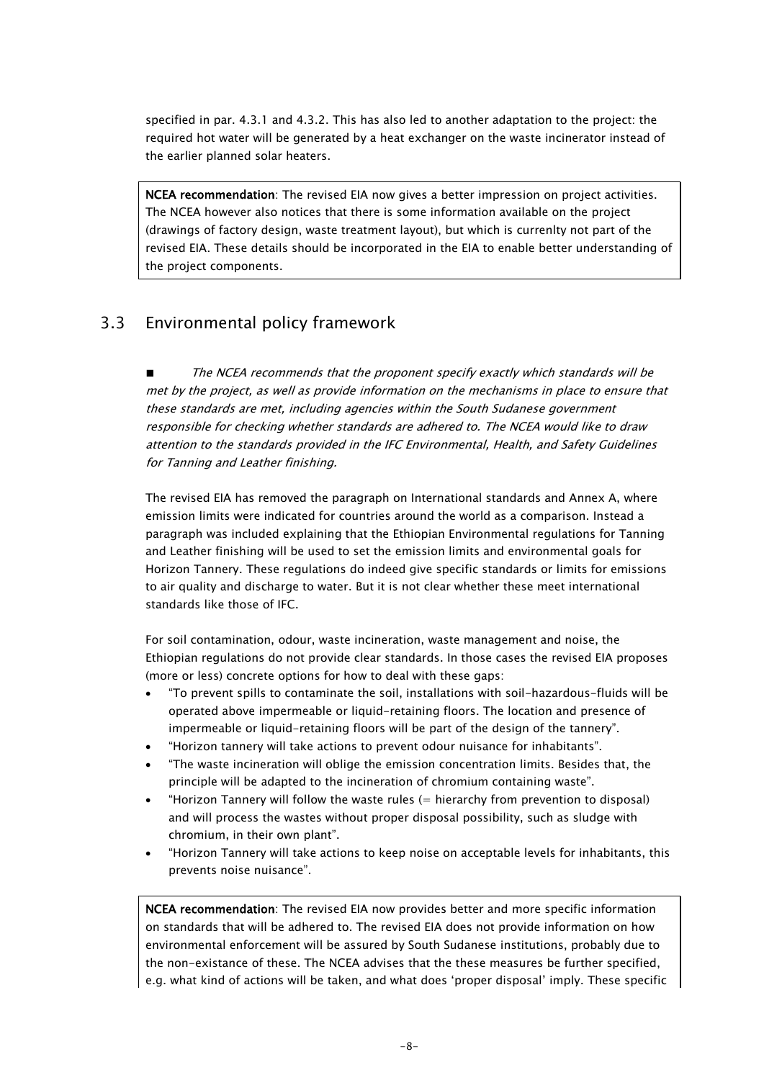specified in par. 4.3.1 and 4.3.2. This has also led to another adaptation to the project: the required hot water will be generated by a heat exchanger on the waste incinerator instead of the earlier planned solar heaters.

**NCEA recommendation**: The revised EIA now gives a better impression on project activities. The NCEA however also notices that there is some information available on the project (drawings of factory design, waste treatment layout), but which is currenlty not part of the revised EIA. These details should be incorporated in the EIA to enable better understanding of the project components.

# 3.3 Environmental policy framework

The NCEA recommends that the proponent specify exactly which standards will be met by the project, as well as provide information on the mechanisms in place to ensure that these standards are met, including agencies within the South Sudanese government responsible for checking whether standards are adhered to. The NCEA would like to draw attention to the standards provided in the IFC Environmental, Health, and Safety Guidelines for Tanning and Leather finishing.

The revised EIA has removed the paragraph on International standards and Annex A, where emission limits were indicated for countries around the world as a comparison. Instead a paragraph was included explaining that the Ethiopian Environmental regulations for Tanning and Leather finishing will be used to set the emission limits and environmental goals for Horizon Tannery. These regulations do indeed give specific standards or limits for emissions to air quality and discharge to water. But it is not clear whether these meet international standards like those of IFC.

For soil contamination, odour, waste incineration, waste management and noise, the Ethiopian regulations do not provide clear standards. In those cases the revised EIA proposes (more or less) concrete options for how to deal with these gaps:

- "To prevent spills to contaminate the soil, installations with soil-hazardous-fluids will be operated above impermeable or liquid-retaining floors. The location and presence of impermeable or liquid-retaining floors will be part of the design of the tannery".
- "Horizon tannery will take actions to prevent odour nuisance for inhabitants".
- "The waste incineration will oblige the emission concentration limits. Besides that, the principle will be adapted to the incineration of chromium containing waste".
- "Horizon Tannery will follow the waste rules (= hierarchy from prevention to disposal) and will process the wastes without proper disposal possibility, such as sludge with chromium, in their own plant".
- "Horizon Tannery will take actions to keep noise on acceptable levels for inhabitants, this prevents noise nuisance".

NCEA recommendation: The revised EIA now provides better and more specific information on standards that will be adhered to. The revised EIA does not provide information on how environmental enforcement will be assured by South Sudanese institutions, probably due to the non-existance of these. The NCEA advises that the these measures be further specified, e.g. what kind of actions will be taken, and what does 'proper disposal' imply. These specific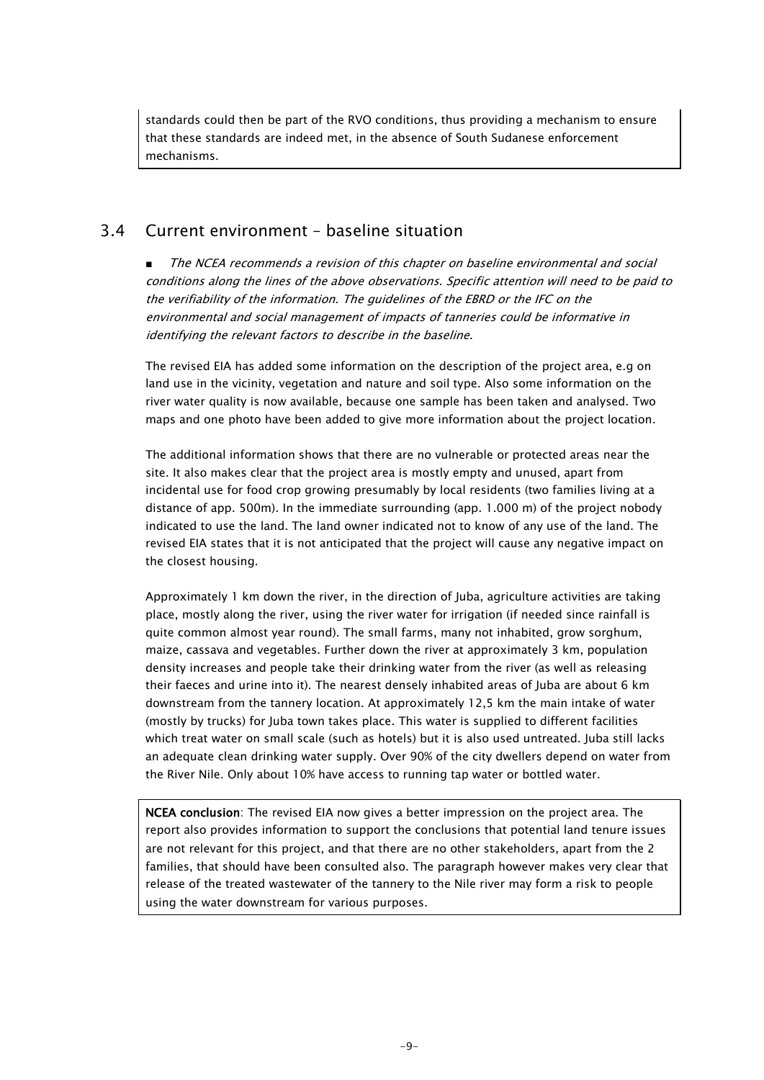standards could then be part of the RVO conditions, thus providing a mechanism to ensure that these standards are indeed met, in the absence of South Sudanese enforcement mechanisms.

### 3.4 Current environment – baseline situation

■ The NCEA recommends a revision of this chapter on baseline environmental and social conditions along the lines of the above observations. Specific attention will need to be paid to the verifiability of the information. The guidelines of the EBRD or the IFC on the environmental and social management of impacts of tanneries could be informative in identifying the relevant factors to describe in the baseline.

The revised EIA has added some information on the description of the project area, e.g on land use in the vicinity, vegetation and nature and soil type. Also some information on the river water quality is now available, because one sample has been taken and analysed. Two maps and one photo have been added to give more information about the project location.

The additional information shows that there are no vulnerable or protected areas near the site. It also makes clear that the project area is mostly empty and unused, apart from incidental use for food crop growing presumably by local residents (two families living at a distance of app. 500m). In the immediate surrounding (app. 1.000 m) of the project nobody indicated to use the land. The land owner indicated not to know of any use of the land. The revised EIA states that it is not anticipated that the project will cause any negative impact on the closest housing.

Approximately 1 km down the river, in the direction of Juba, agriculture activities are taking place, mostly along the river, using the river water for irrigation (if needed since rainfall is quite common almost year round). The small farms, many not inhabited, grow sorghum, maize, cassava and vegetables. Further down the river at approximately 3 km, population density increases and people take their drinking water from the river (as well as releasing their faeces and urine into it). The nearest densely inhabited areas of Juba are about 6 km downstream from the tannery location. At approximately 12,5 km the main intake of water (mostly by trucks) for Juba town takes place. This water is supplied to different facilities which treat water on small scale (such as hotels) but it is also used untreated. Juba still lacks an adequate clean drinking water supply. Over 90% of the city dwellers depend on water from the River Nile. Only about 10% have access to running tap water or bottled water.

NCEA conclusion: The revised EIA now gives a better impression on the project area. The report also provides information to support the conclusions that potential land tenure issues are not relevant for this project, and that there are no other stakeholders, apart from the 2 families, that should have been consulted also. The paragraph however makes very clear that release of the treated wastewater of the tannery to the Nile river may form a risk to people using the water downstream for various purposes.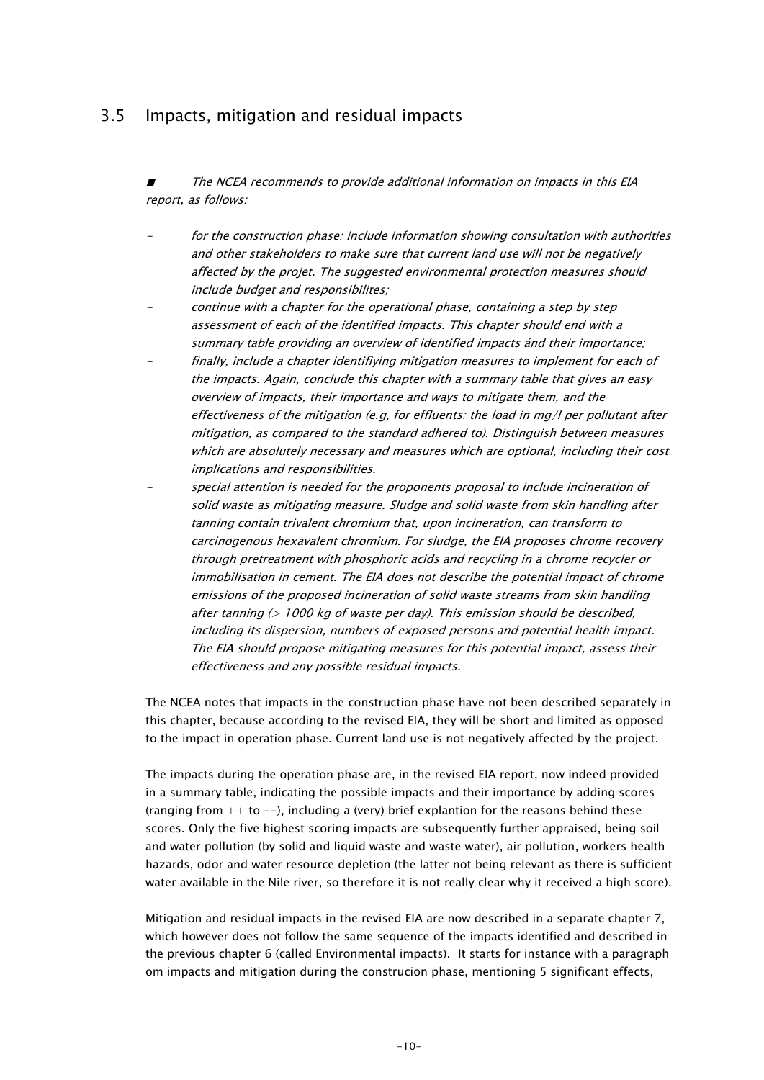## 3.5 Impacts, mitigation and residual impacts

The NCEA recommends to provide additional information on impacts in this EIA report, as follows:

 for the construction phase: include information showing consultation with authorities and other stakeholders to make sure that current land use will not be negatively affected by the projet. The suggested environmental protection measures should include budget and responsibilites;

- continue with a chapter for the operational phase, containing a step by step assessment of each of the identified impacts. This chapter should end with a summary table providing an overview of identified impacts ánd their importance;
- finally, include a chapter identifiying mitigation measures to implement for each of the impacts. Again, conclude this chapter with a summary table that gives an easy overview of impacts, their importance and ways to mitigate them, and the effectiveness of the mitigation (e.g, for effluents: the load in mg/l per pollutant after mitigation, as compared to the standard adhered to). Distinguish between measures which are absolutely necessary and measures which are optional, including their cost implications and responsibilities.
- special attention is needed for the proponents proposal to include incineration of solid waste as mitigating measure. Sludge and solid waste from skin handling after tanning contain trivalent chromium that, upon incineration, can transform to carcinogenous hexavalent chromium. For sludge, the EIA proposes chrome recovery through pretreatment with phosphoric acids and recycling in a chrome recycler or immobilisation in cement. The EIA does not describe the potential impact of chrome emissions of the proposed incineration of solid waste streams from skin handling after tanning (> 1000 kg of waste per day). This emission should be described, including its dispersion, numbers of exposed persons and potential health impact. The EIA should propose mitigating measures for this potential impact, assess their effectiveness and any possible residual impacts.

The NCEA notes that impacts in the construction phase have not been described separately in this chapter, because according to the revised EIA, they will be short and limited as opposed to the impact in operation phase. Current land use is not negatively affected by the project.

The impacts during the operation phase are, in the revised EIA report, now indeed provided in a summary table, indicating the possible impacts and their importance by adding scores (ranging from  $++$  to  $--$ ), including a (very) brief explantion for the reasons behind these scores. Only the five highest scoring impacts are subsequently further appraised, being soil and water pollution (by solid and liquid waste and waste water), air pollution, workers health hazards, odor and water resource depletion (the latter not being relevant as there is sufficient water available in the Nile river, so therefore it is not really clear why it received a high score).

Mitigation and residual impacts in the revised EIA are now described in a separate chapter 7, which however does not follow the same sequence of the impacts identified and described in the previous chapter 6 (called Environmental impacts). It starts for instance with a paragraph om impacts and mitigation during the construcion phase, mentioning 5 significant effects,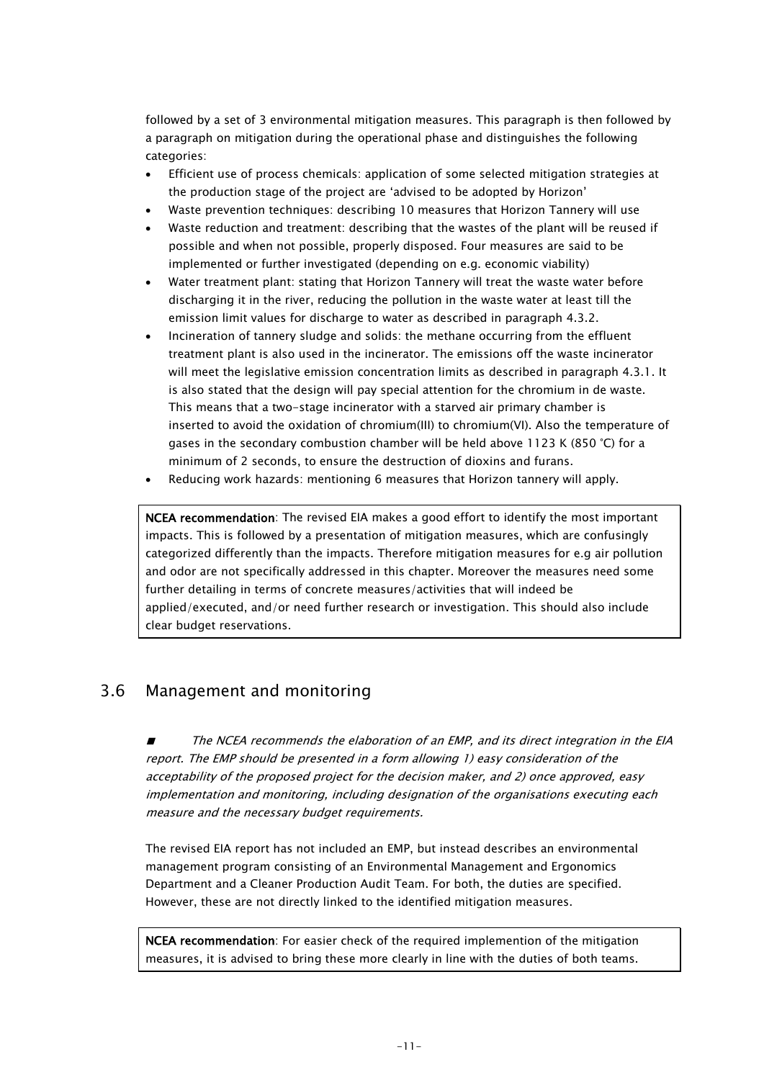followed by a set of 3 environmental mitigation measures. This paragraph is then followed by a paragraph on mitigation during the operational phase and distinguishes the following categories:

- Efficient use of process chemicals: application of some selected mitigation strategies at the production stage of the project are 'advised to be adopted by Horizon'
- Waste prevention techniques: describing 10 measures that Horizon Tannery will use
- Waste reduction and treatment: describing that the wastes of the plant will be reused if possible and when not possible, properly disposed. Four measures are said to be implemented or further investigated (depending on e.g. economic viability)
- Water treatment plant: stating that Horizon Tannery will treat the waste water before discharging it in the river, reducing the pollution in the waste water at least till the emission limit values for discharge to water as described in paragraph 4.3.2.
- Incineration of tannery sludge and solids: the methane occurring from the effluent treatment plant is also used in the incinerator. The emissions off the waste incinerator will meet the legislative emission concentration limits as described in paragraph 4.3.1. It is also stated that the design will pay special attention for the chromium in de waste. This means that a two-stage incinerator with a starved air primary chamber is inserted to avoid the oxidation of chromium(III) to chromium(VI). Also the temperature of gases in the secondary combustion chamber will be held above 1123 K (850 °C) for a minimum of 2 seconds, to ensure the destruction of dioxins and furans.
- Reducing work hazards: mentioning 6 measures that Horizon tannery will apply.

NCEA recommendation: The revised EIA makes a good effort to identify the most important impacts. This is followed by a presentation of mitigation measures, which are confusingly categorized differently than the impacts. Therefore mitigation measures for e.g air pollution and odor are not specifically addressed in this chapter. Moreover the measures need some further detailing in terms of concrete measures/activities that will indeed be applied/executed, and/or need further research or investigation. This should also include clear budget reservations.

## 3.6 Management and monitoring

■ The NCEA recommends the elaboration of an EMP, and its direct integration in the EIA report. The EMP should be presented in a form allowing 1) easy consideration of the acceptability of the proposed project for the decision maker, and 2) once approved, easy implementation and monitoring, including designation of the organisations executing each measure and the necessary budget requirements.

The revised EIA report has not included an EMP, but instead describes an environmental management program consisting of an Environmental Management and Ergonomics Department and a Cleaner Production Audit Team. For both, the duties are specified. However, these are not directly linked to the identified mitigation measures.

NCEA recommendation: For easier check of the required implemention of the mitigation measures, it is advised to bring these more clearly in line with the duties of both teams.